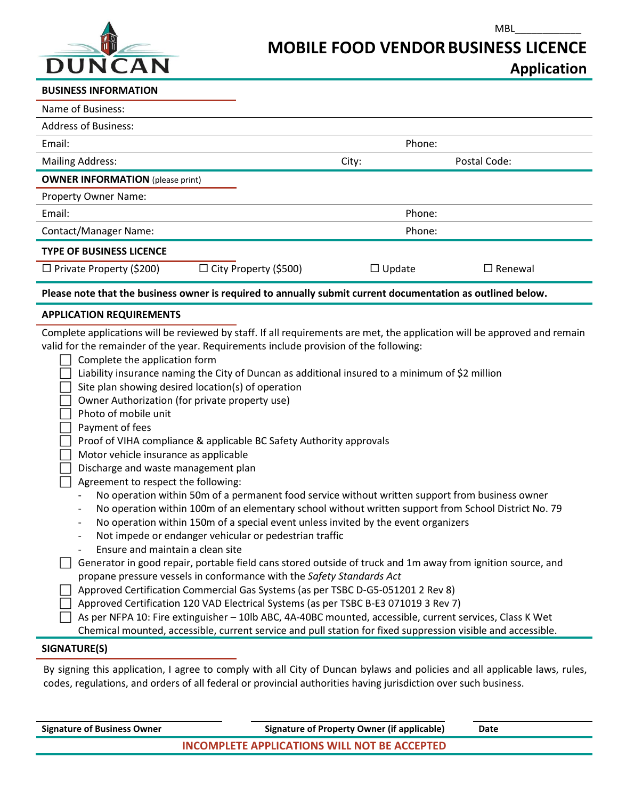

## **Application**

MBL\_\_\_\_\_\_\_\_\_\_\_\_

## **BUSINESS INFORMATION**

| Name of Business:                                                                                           |               |                |  |
|-------------------------------------------------------------------------------------------------------------|---------------|----------------|--|
| <b>Address of Business:</b>                                                                                 |               |                |  |
| Email:                                                                                                      | Phone:        |                |  |
| <b>Mailing Address:</b>                                                                                     | City:         | Postal Code:   |  |
| <b>OWNER INFORMATION</b> (please print)                                                                     |               |                |  |
| Property Owner Name:                                                                                        |               |                |  |
| Email:                                                                                                      | Phone:        |                |  |
| <b>Contact/Manager Name:</b>                                                                                | Phone:        |                |  |
| <b>TYPE OF BUSINESS LICENCE</b>                                                                             |               |                |  |
| $\Box$ City Property (\$500)<br>$\Box$ Private Property (\$200)                                             | $\Box$ Update | $\Box$ Renewal |  |
| Please note that the business owner is required to annually submit current documentation as outlined below. |               |                |  |

## **APPLICATION REQUIREMENTS**

Complete applications will be reviewed by staff. If all requirements are met, the application will be approved and remain<br>valid for the remainder of the vear, Bequirements include provision of the following: valid for the remainder of the year. Requirements include provision of the following:

| valid for the remainder of the year. Requirements include provision of the following:                                            |
|----------------------------------------------------------------------------------------------------------------------------------|
| Complete the application form                                                                                                    |
| Liability insurance naming the City of Duncan as additional insured to a minimum of \$2 million                                  |
| Site plan showing desired location(s) of operation                                                                               |
| Owner Authorization (for private property use)                                                                                   |
| Photo of mobile unit                                                                                                             |
| Payment of fees                                                                                                                  |
| Proof of VIHA compliance & applicable BC Safety Authority approvals                                                              |
| Motor vehicle insurance as applicable                                                                                            |
| Discharge and waste management plan                                                                                              |
| Agreement to respect the following:                                                                                              |
| No operation within 50m of a permanent food service without written support from business owner                                  |
| No operation within 100m of an elementary school without written support from School District No. 79<br>$\overline{\phantom{a}}$ |
| No operation within 150m of a special event unless invited by the event organizers<br>$\overline{\phantom{a}}$                   |
| Not impede or endanger vehicular or pedestrian traffic                                                                           |
| Ensure and maintain a clean site                                                                                                 |
| Generator in good repair, portable field cans stored outside of truck and 1m away from ignition source, and                      |
| propane pressure vessels in conformance with the Safety Standards Act                                                            |
| Approved Certification Commercial Gas Systems (as per TSBC D-G5-051201 2 Rev 8)                                                  |
| Approved Certification 120 VAD Electrical Systems (as per TSBC B-E3 071019 3 Rev 7)                                              |
| As per NFPA 10: Fire extinguisher - 10lb ABC, 4A-40BC mounted, accessible, current services, Class K Wet                         |
| Chemical mounted, accessible, current service and pull station for fixed suppression visible and accessible.                     |
| SIGNATURE(S)                                                                                                                     |
|                                                                                                                                  |

By signing this application, I agree to comply with all City of Duncan bylaws and policies and all applicable laws, rules, codes, regulations, and orders of all federal or provincial authorities having jurisdiction over such business.

| <b>Signature of Business Owner</b>                  | <b>Signature of Property Owner (if applicable)</b> | Date |
|-----------------------------------------------------|----------------------------------------------------|------|
| <b>INCOMPLETE APPLICATIONS WILL NOT BE ACCEPTED</b> |                                                    |      |